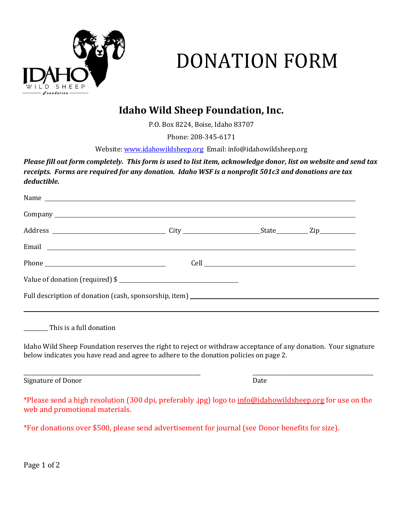

# DONATION FORM

## **Idaho Wild Sheep Foundation, Inc.**

P.O. Box 8224, Boise, Idaho 83707

Phone: 208-345-6171

Website[: www.idahowildsheep.org](http://www.idahowildsheep.org/) Email: info@idahowildsheep.org

*Please fill out form completely. This form is used to list item, acknowledge donor, list on website and send tax receipts. Forms are required for any donation. Idaho WSF is a nonprofit 501c3 and donations are tax deductible.*

| Email <u>example and the set of the set of the set of the set of the set of the set of the set of the set of the set of the set of the set of the set of the set of the set of the set of the set of the set of the set of the s</u> |  |  |
|--------------------------------------------------------------------------------------------------------------------------------------------------------------------------------------------------------------------------------------|--|--|
| Phone Phone                                                                                                                                                                                                                          |  |  |
| Value of donation (required) \$                                                                                                                                                                                                      |  |  |
|                                                                                                                                                                                                                                      |  |  |
| __________ This is a full donation                                                                                                                                                                                                   |  |  |

Idaho Wild Sheep Foundation reserves the right to reject or withdraw acceptance of any donation. Your signature below indicates you have read and agree to adhere to the donation policies on page 2.

\_\_\_\_\_\_\_\_\_\_\_\_\_\_\_\_\_\_\_\_\_\_\_\_\_\_\_\_\_\_\_\_\_\_\_\_\_\_\_\_\_\_\_\_\_\_\_\_\_\_\_\_\_\_\_\_\_\_\_\_\_\_\_\_\_\_ \_\_\_\_\_\_\_\_\_\_\_\_\_\_\_\_\_\_\_\_\_\_\_\_\_\_\_\_\_\_\_\_\_\_\_\_\_\_\_\_\_\_\_\_\_

Signature of Donor Date

\*Please send a high resolution (300 dpi, preferably .jpg) logo to [info@idahowildsheep.org](mailto:info@idahowildsheep.org) for use on the web and promotional materials.

\*For donations over \$500, please send advertisement for journal (see Donor benefits for size).